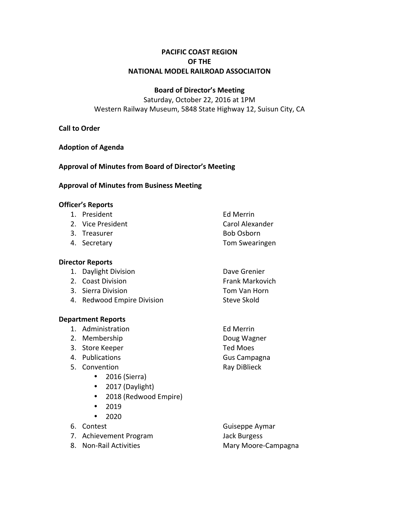# **PACIFIC COAST REGION OF THE NATIONAL MODEL RAILROAD ASSOCIAITON**

## **Board of Director's Meeting**

Saturday, October 22, 2016 at 1PM Western Railway Museum, 5848 State Highway 12, Suisun City, CA

## **Call to Order**

**Adoption of Agenda**

**Approval of Minutes from Board of Director's Meeting**

### **Approval of Minutes from Business Meeting**

### **Officer's Reports**

- 1. President **Ed Merrin**
- 2. Vice President Carol Alexander
- 3. Treasurer and the Bob Osborn
- 

## **Director Reports**

- 1. Daylight Division **Dave Grenier**
- 2. Coast Division **Frank Markovich**
- 3. Sierra Division **Tom** Van Horn
- 4. Redwood Empire Division Steve Skold

#### **Department Reports**

- 1. Administration **Ed Merrin**
- 2. Membership Doug Wagner
- 3. Store Keeper Ted Moes
- 4. Publications **Gus** Campagna
- 5. Convention **Ray DiBlieck** 
	- $\bullet$  2016 (Sierra)
	- 2017 (Daylight)
	- 2018 (Redwood Empire)
	- 2019
	- 2020
- 
- 7. Achievement Program Jack Burgess
- 

6. Contest Guiseppe Aymar 8. Non-Rail Activities **Mary Moore-Campagna** 

- 
- 
- 4. Secretary **Tom** Swearingen
	-